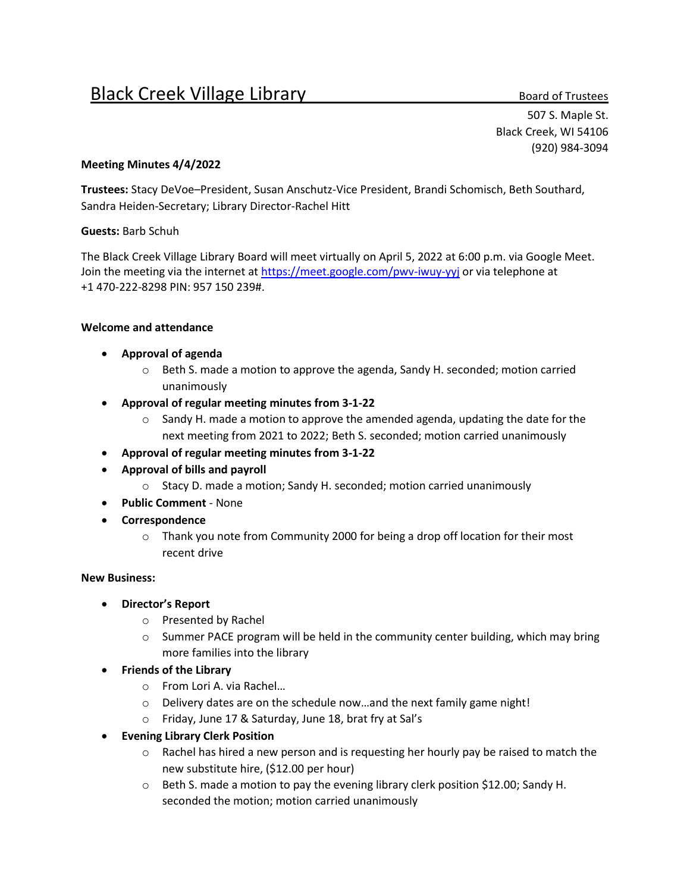# Black Creek Village Library Black Creek Village Up and Crustees

507 S. Maple St. Black Creek, WI 54106 (920) 984-3094

### **Meeting Minutes 4/4/2022**

**Trustees:** Stacy DeVoe–President, Susan Anschutz-Vice President, Brandi Schomisch, Beth Southard, Sandra Heiden-Secretary; Library Director-Rachel Hitt

#### **Guests:** Barb Schuh

The Black Creek Village Library Board will meet virtually on April 5, 2022 at 6:00 p.m. via Google Meet. Join the meeting via the internet a[t https://meet.google.com/pwv-iwuy-yyj](https://meet.google.com/pwv-iwuy-yyj) or via telephone at +1 470-222-8298 PIN: 957 150 239#.

#### **Welcome and attendance**

- **Approval of agenda**
	- $\circ$  Beth S. made a motion to approve the agenda, Sandy H. seconded; motion carried unanimously
- **Approval of regular meeting minutes from 3-1-22**
	- $\circ$  Sandy H. made a motion to approve the amended agenda, updating the date for the next meeting from 2021 to 2022; Beth S. seconded; motion carried unanimously
- **Approval of regular meeting minutes from 3-1-22**
- **Approval of bills and payroll**
	- o Stacy D. made a motion; Sandy H. seconded; motion carried unanimously
- **Public Comment** None
- **Correspondence**
	- $\circ$  Thank you note from Community 2000 for being a drop off location for their most recent drive

## **New Business:**

- **Director's Report**
	- o Presented by Rachel
	- $\circ$  Summer PACE program will be held in the community center building, which may bring more families into the library
- **Friends of the Library**
	- o From Lori A. via Rachel…
	- o Delivery dates are on the schedule now…and the next family game night!
	- o Friday, June 17 & Saturday, June 18, brat fry at Sal's
- **Evening Library Clerk Position**
	- $\circ$  Rachel has hired a new person and is requesting her hourly pay be raised to match the new substitute hire, (\$12.00 per hour)
	- $\circ$  Beth S. made a motion to pay the evening library clerk position \$12.00; Sandy H. seconded the motion; motion carried unanimously